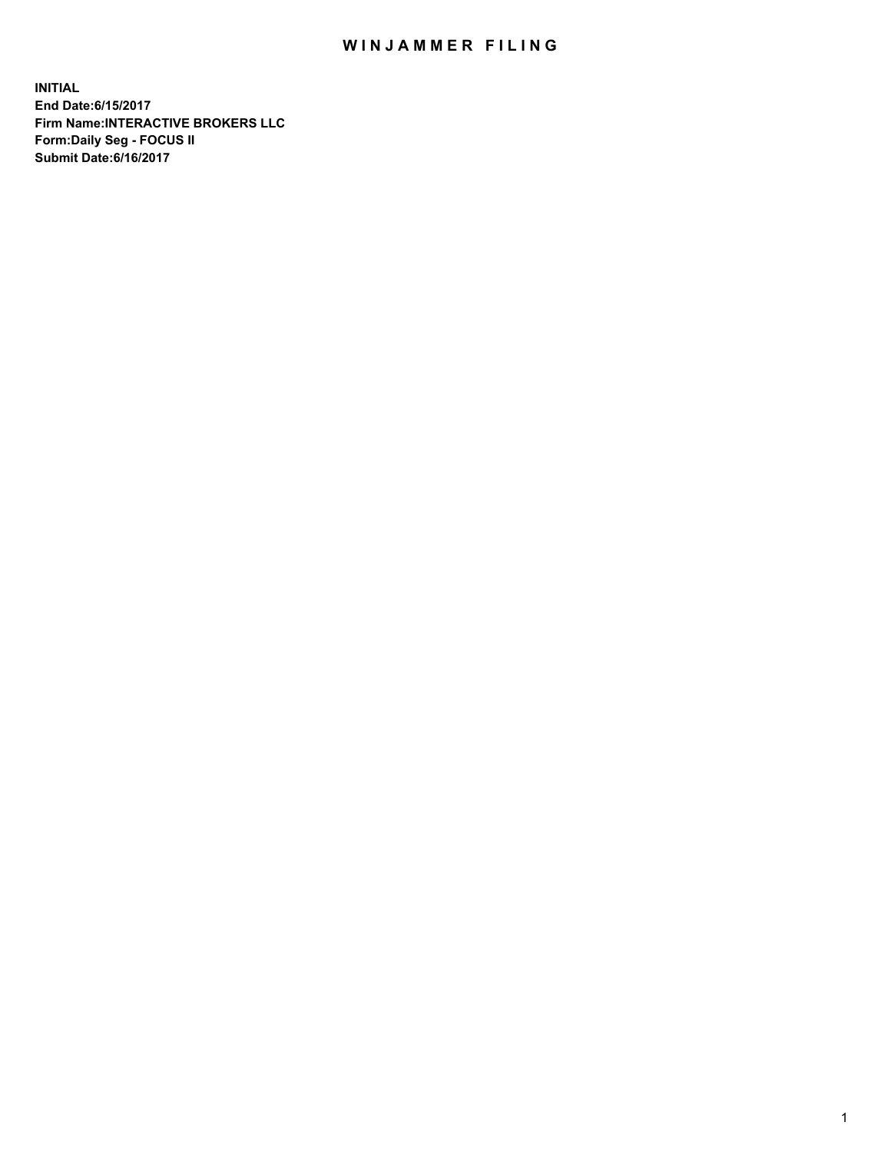## WIN JAMMER FILING

**INITIAL End Date:6/15/2017 Firm Name:INTERACTIVE BROKERS LLC Form:Daily Seg - FOCUS II Submit Date:6/16/2017**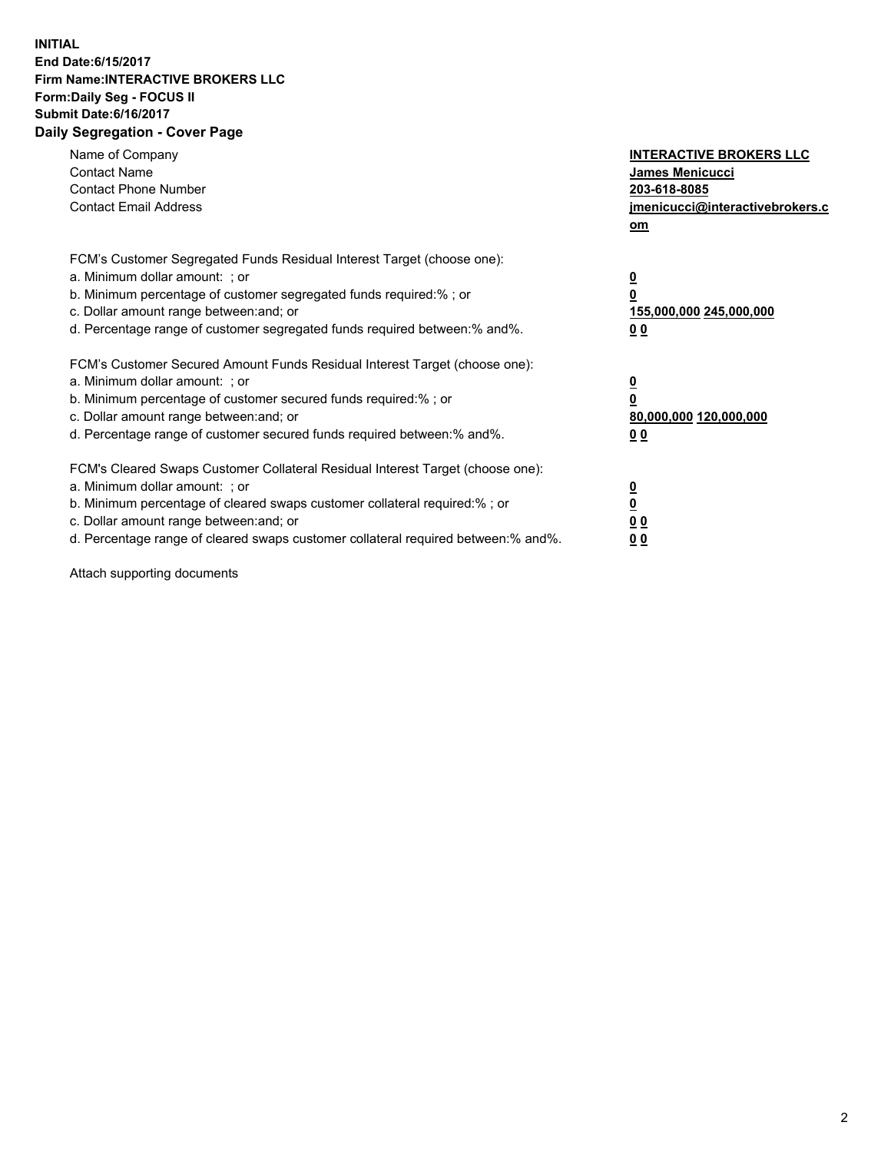## **INITIAL End Date:6/15/2017 Firm Name:INTERACTIVE BROKERS LLC Form:Daily Seg - FOCUS II Submit Date:6/16/2017 Daily Segregation - Cover Page**

| Name of Company<br><b>Contact Name</b><br><b>Contact Phone Number</b><br><b>Contact Email Address</b>                                                                                                                                                                                                                          | <b>INTERACTIVE BROKERS LLC</b><br>James Menicucci<br>203-618-8085<br>jmenicucci@interactivebrokers.c<br>om |
|--------------------------------------------------------------------------------------------------------------------------------------------------------------------------------------------------------------------------------------------------------------------------------------------------------------------------------|------------------------------------------------------------------------------------------------------------|
| FCM's Customer Segregated Funds Residual Interest Target (choose one):<br>a. Minimum dollar amount: ; or<br>b. Minimum percentage of customer segregated funds required:%; or<br>c. Dollar amount range between: and; or<br>d. Percentage range of customer segregated funds required between:% and%.                          | $\overline{\mathbf{0}}$<br>0<br>155,000,000 245,000,000<br>0 <sub>0</sub>                                  |
| FCM's Customer Secured Amount Funds Residual Interest Target (choose one):<br>a. Minimum dollar amount: ; or<br>b. Minimum percentage of customer secured funds required:%; or<br>c. Dollar amount range between: and; or<br>d. Percentage range of customer secured funds required between:% and%.                            | $\overline{\mathbf{0}}$<br>$\overline{\mathbf{0}}$<br>80,000,000 120,000,000<br>00                         |
| FCM's Cleared Swaps Customer Collateral Residual Interest Target (choose one):<br>a. Minimum dollar amount: ; or<br>b. Minimum percentage of cleared swaps customer collateral required:% ; or<br>c. Dollar amount range between: and; or<br>d. Percentage range of cleared swaps customer collateral required between:% and%. | $\overline{\mathbf{0}}$<br>$\overline{\mathbf{0}}$<br>0 <sub>0</sub><br><u>00</u>                          |

Attach supporting documents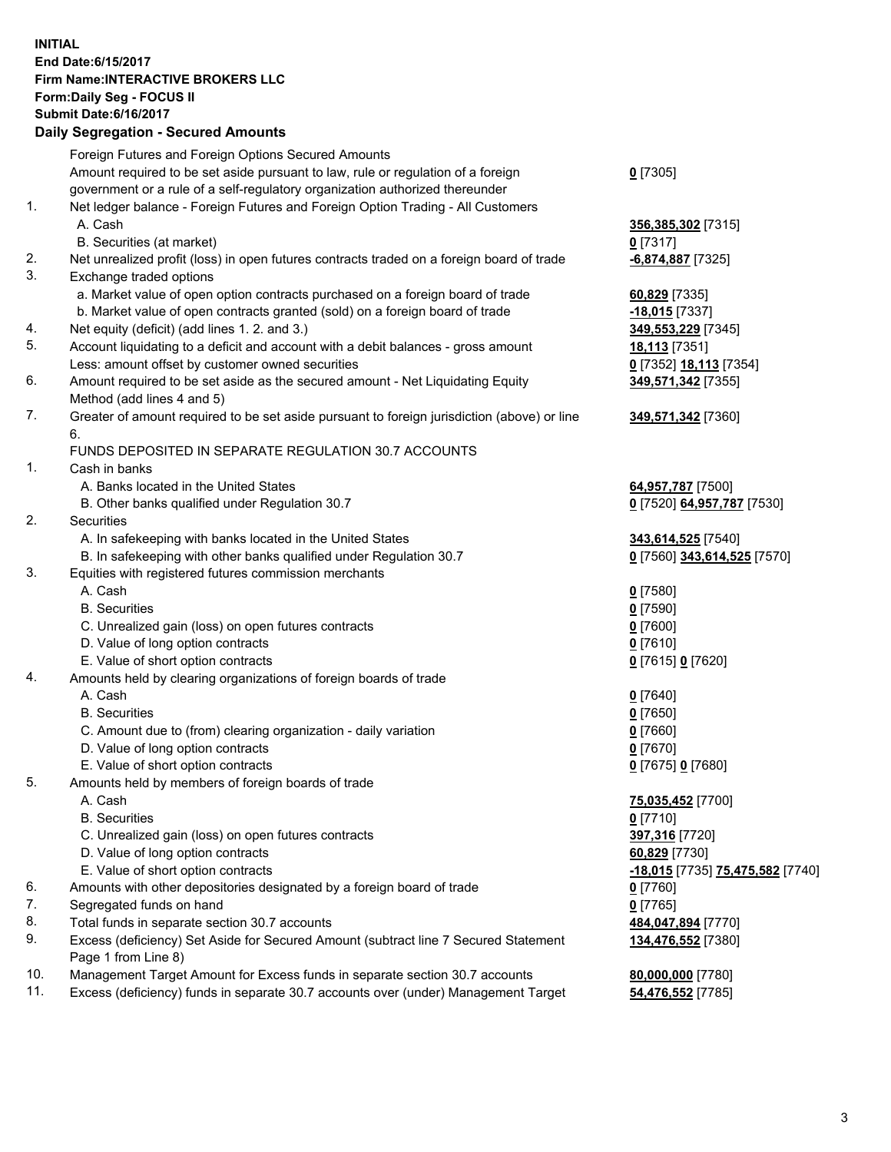## **INITIAL End Date:6/15/2017 Firm Name:INTERACTIVE BROKERS LLC Form:Daily Seg - FOCUS II Submit Date:6/16/2017**

|     | <b>Daily Segregation - Secured Amounts</b>                                                  |                                         |
|-----|---------------------------------------------------------------------------------------------|-----------------------------------------|
|     | Foreign Futures and Foreign Options Secured Amounts                                         |                                         |
|     | Amount required to be set aside pursuant to law, rule or regulation of a foreign            | $0$ [7305]                              |
|     | government or a rule of a self-regulatory organization authorized thereunder                |                                         |
| 1.  | Net ledger balance - Foreign Futures and Foreign Option Trading - All Customers             |                                         |
|     | A. Cash                                                                                     | 356,385,302 [7315]                      |
|     | B. Securities (at market)                                                                   | $0$ [7317]                              |
| 2.  | Net unrealized profit (loss) in open futures contracts traded on a foreign board of trade   | -6,874,887 [7325]                       |
| 3.  | Exchange traded options                                                                     |                                         |
|     | a. Market value of open option contracts purchased on a foreign board of trade              | 60,829 [7335]                           |
|     | b. Market value of open contracts granted (sold) on a foreign board of trade                | <u>-18,015</u> [7337]                   |
| 4.  | Net equity (deficit) (add lines 1.2. and 3.)                                                | 349,553,229 [7345]                      |
| 5.  | Account liquidating to a deficit and account with a debit balances - gross amount           | <u>18,113</u> [7351]                    |
|     | Less: amount offset by customer owned securities                                            | 0 [7352] 18,113 [7354]                  |
| 6.  | Amount required to be set aside as the secured amount - Net Liquidating Equity              | 349,571,342 [7355]                      |
|     | Method (add lines 4 and 5)                                                                  |                                         |
| 7.  | Greater of amount required to be set aside pursuant to foreign jurisdiction (above) or line | 349,571,342 [7360]                      |
|     | 6.                                                                                          |                                         |
|     | FUNDS DEPOSITED IN SEPARATE REGULATION 30.7 ACCOUNTS                                        |                                         |
| 1.  | Cash in banks                                                                               |                                         |
|     | A. Banks located in the United States                                                       | 64,957,787 [7500]                       |
|     | B. Other banks qualified under Regulation 30.7                                              | 0 [7520] 64,957,787 [7530]              |
| 2.  | Securities                                                                                  |                                         |
|     | A. In safekeeping with banks located in the United States                                   | 343,614,525 [7540]                      |
|     | B. In safekeeping with other banks qualified under Regulation 30.7                          | 0 [7560] 343,614,525 [7570]             |
| 3.  | Equities with registered futures commission merchants                                       |                                         |
|     | A. Cash                                                                                     | $0$ [7580]                              |
|     | <b>B.</b> Securities                                                                        | <u>0</u> [7590]                         |
|     | C. Unrealized gain (loss) on open futures contracts                                         | 0 [7600]                                |
|     | D. Value of long option contracts                                                           | $0$ [7610]                              |
|     | E. Value of short option contracts                                                          | 0 [7615] 0 [7620]                       |
| 4.  | Amounts held by clearing organizations of foreign boards of trade                           |                                         |
|     | A. Cash                                                                                     | $0$ [7640]                              |
|     | <b>B.</b> Securities                                                                        | $0$ [7650]                              |
|     | C. Amount due to (from) clearing organization - daily variation                             | $0$ [7660]                              |
|     | D. Value of long option contracts                                                           | $0$ [7670]                              |
|     | E. Value of short option contracts                                                          | 0 [7675] 0 [7680]                       |
| 5.  | Amounts held by members of foreign boards of trade                                          |                                         |
|     | A. Cash                                                                                     | 75,035,452 [7700]                       |
|     | <b>B.</b> Securities                                                                        | $0$ [7710]                              |
|     | C. Unrealized gain (loss) on open futures contracts                                         | 397,316 [7720]                          |
|     | D. Value of long option contracts                                                           | 60,829 [7730]                           |
|     | E. Value of short option contracts                                                          | <u>-18,015</u> [7735] 75,475,582 [7740] |
| 6.  | Amounts with other depositories designated by a foreign board of trade                      | 0 [7760]                                |
| 7.  | Segregated funds on hand                                                                    | $0$ [7765]                              |
| 8.  | Total funds in separate section 30.7 accounts                                               | 484,047,894 [7770]                      |
| 9.  | Excess (deficiency) Set Aside for Secured Amount (subtract line 7 Secured Statement         | 134,476,552 [7380]                      |
|     | Page 1 from Line 8)                                                                         |                                         |
| 10. | Management Target Amount for Excess funds in separate section 30.7 accounts                 | 80,000,000 [7780]                       |
| 11. | Excess (deficiency) funds in separate 30.7 accounts over (under) Management Target          | 54,476,552 [7785]                       |
|     |                                                                                             |                                         |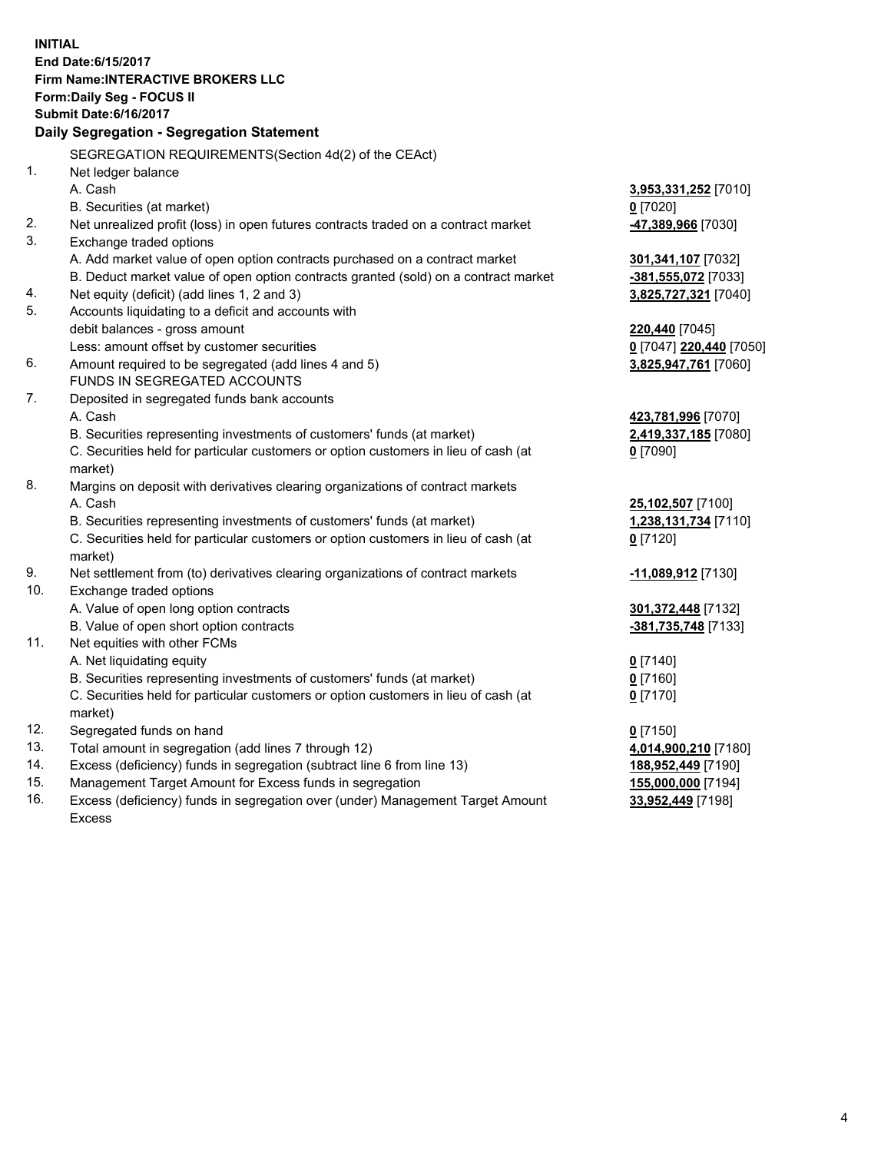**INITIAL End Date:6/15/2017 Firm Name:INTERACTIVE BROKERS LLC Form:Daily Seg - FOCUS II Submit Date:6/16/2017 Daily Segregation - Segregation Statement** SEGREGATION REQUIREMENTS(Section 4d(2) of the CEAct) 1. Net ledger balance A. Cash **3,953,331,252** [7010] B. Securities (at market) **0** [7020] 2. Net unrealized profit (loss) in open futures contracts traded on a contract market **-47,389,966** [7030] 3. Exchange traded options A. Add market value of open option contracts purchased on a contract market **301,341,107** [7032] B. Deduct market value of open option contracts granted (sold) on a contract market **-381,555,072** [7033] 4. Net equity (deficit) (add lines 1, 2 and 3) **3,825,727,321** [7040] 5. Accounts liquidating to a deficit and accounts with debit balances - gross amount **220,440** [7045] Less: amount offset by customer securities **0** [7047] **220,440** [7050] 6. Amount required to be segregated (add lines 4 and 5) **3,825,947,761** [7060] FUNDS IN SEGREGATED ACCOUNTS 7. Deposited in segregated funds bank accounts A. Cash **423,781,996** [7070] B. Securities representing investments of customers' funds (at market) **2,419,337,185** [7080] C. Securities held for particular customers or option customers in lieu of cash (at market) **0** [7090] 8. Margins on deposit with derivatives clearing organizations of contract markets A. Cash **25,102,507** [7100] B. Securities representing investments of customers' funds (at market) **1,238,131,734** [7110] C. Securities held for particular customers or option customers in lieu of cash (at market) **0** [7120] 9. Net settlement from (to) derivatives clearing organizations of contract markets **-11,089,912** [7130] 10. Exchange traded options A. Value of open long option contracts **301,372,448** [7132] B. Value of open short option contracts **-381,735,748** [7133] 11. Net equities with other FCMs A. Net liquidating equity **0** [7140] B. Securities representing investments of customers' funds (at market) **0** [7160] C. Securities held for particular customers or option customers in lieu of cash (at market) **0** [7170] 12. Segregated funds on hand **0** [7150] 13. Total amount in segregation (add lines 7 through 12) **4,014,900,210** [7180] 14. Excess (deficiency) funds in segregation (subtract line 6 from line 13) **188,952,449** [7190] 15. Management Target Amount for Excess funds in segregation **155,000,000** [7194] **33,952,449** [7198]

16. Excess (deficiency) funds in segregation over (under) Management Target Amount Excess